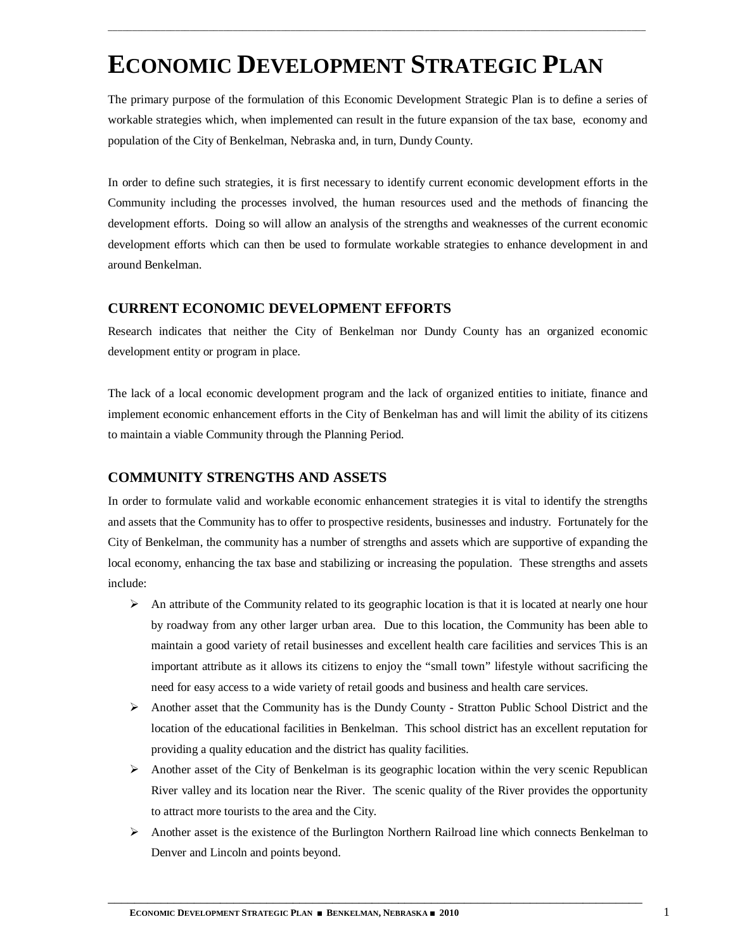# **ECONOMIC DEVELOPMENT STRATEGIC PLAN**

The primary purpose of the formulation of this Economic Development Strategic Plan is to define a series of workable strategies which, when implemented can result in the future expansion of the tax base, economy and population of the City of Benkelman, Nebraska and, in turn, Dundy County.

\_\_\_\_\_\_\_\_\_\_\_\_\_\_\_\_\_\_\_\_\_\_\_\_\_\_\_\_\_\_\_\_\_\_\_\_\_\_\_\_\_\_\_\_\_\_\_\_\_\_\_\_\_\_\_\_\_\_\_\_\_\_\_\_\_\_\_\_\_\_\_\_\_\_\_\_\_\_\_\_\_\_\_\_\_\_\_\_\_\_\_\_\_\_\_\_\_\_\_\_\_\_\_\_\_\_\_\_\_\_\_\_

In order to define such strategies, it is first necessary to identify current economic development efforts in the Community including the processes involved, the human resources used and the methods of financing the development efforts. Doing so will allow an analysis of the strengths and weaknesses of the current economic development efforts which can then be used to formulate workable strategies to enhance development in and around Benkelman.

#### **CURRENT ECONOMIC DEVELOPMENT EFFORTS**

Research indicates that neither the City of Benkelman nor Dundy County has an organized economic development entity or program in place.

The lack of a local economic development program and the lack of organized entities to initiate, finance and implement economic enhancement efforts in the City of Benkelman has and will limit the ability of its citizens to maintain a viable Community through the Planning Period.

### **COMMUNITY STRENGTHS AND ASSETS**

In order to formulate valid and workable economic enhancement strategies it is vital to identify the strengths and assets that the Community has to offer to prospective residents, businesses and industry. Fortunately for the City of Benkelman, the community has a number of strengths and assets which are supportive of expanding the local economy, enhancing the tax base and stabilizing or increasing the population. These strengths and assets include:

- $\triangleright$  An attribute of the Community related to its geographic location is that it is located at nearly one hour by roadway from any other larger urban area. Due to this location, the Community has been able to maintain a good variety of retail businesses and excellent health care facilities and services This is an important attribute as it allows its citizens to enjoy the "small town" lifestyle without sacrificing the need for easy access to a wide variety of retail goods and business and health care services.
- $\triangleright$  Another asset that the Community has is the Dundy County Stratton Public School District and the location of the educational facilities in Benkelman. This school district has an excellent reputation for providing a quality education and the district has quality facilities.
- $\triangleright$  Another asset of the City of Benkelman is its geographic location within the very scenic Republican River valley and its location near the River. The scenic quality of the River provides the opportunity to attract more tourists to the area and the City.
- Another asset is the existence of the Burlington Northern Railroad line which connects Benkelman to Denver and Lincoln and points beyond.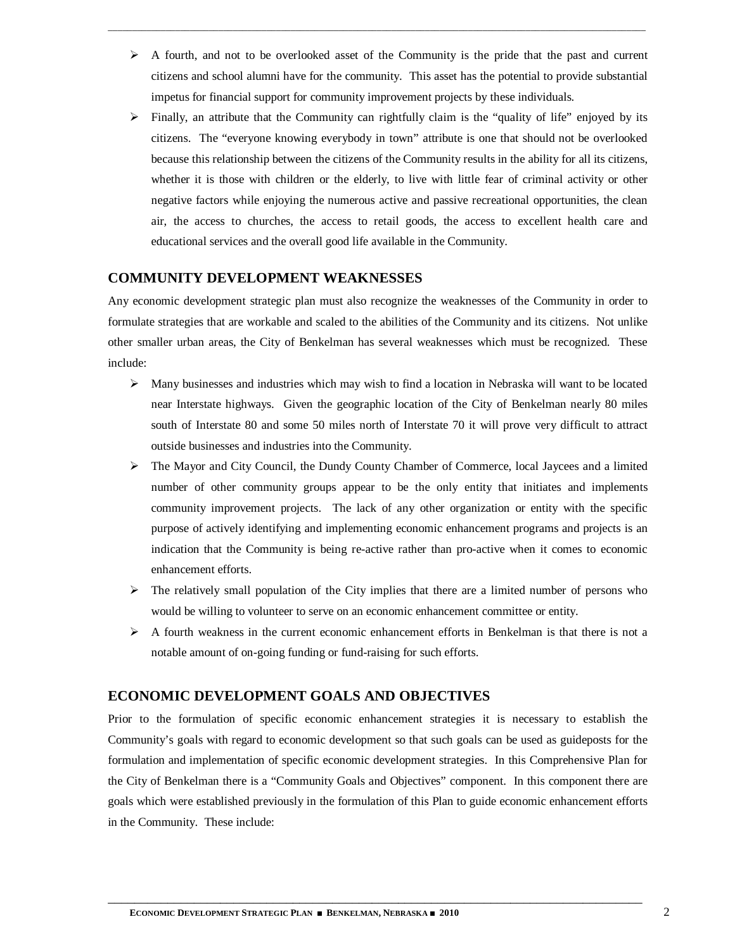$\triangleright$  A fourth, and not to be overlooked asset of the Community is the pride that the past and current citizens and school alumni have for the community. This asset has the potential to provide substantial impetus for financial support for community improvement projects by these individuals.

\_\_\_\_\_\_\_\_\_\_\_\_\_\_\_\_\_\_\_\_\_\_\_\_\_\_\_\_\_\_\_\_\_\_\_\_\_\_\_\_\_\_\_\_\_\_\_\_\_\_\_\_\_\_\_\_\_\_\_\_\_\_\_\_\_\_\_\_\_\_\_\_\_\_\_\_\_\_\_\_\_\_\_\_\_\_\_\_\_\_\_\_\_\_\_\_\_\_\_\_\_\_\_\_\_\_\_\_\_\_\_\_

 $\triangleright$  Finally, an attribute that the Community can rightfully claim is the "quality of life" enjoyed by its citizens. The "everyone knowing everybody in town" attribute is one that should not be overlooked because this relationship between the citizens of the Community results in the ability for all its citizens, whether it is those with children or the elderly, to live with little fear of criminal activity or other negative factors while enjoying the numerous active and passive recreational opportunities, the clean air, the access to churches, the access to retail goods, the access to excellent health care and educational services and the overall good life available in the Community.

## **COMMUNITY DEVELOPMENT WEAKNESSES**

Any economic development strategic plan must also recognize the weaknesses of the Community in order to formulate strategies that are workable and scaled to the abilities of the Community and its citizens. Not unlike other smaller urban areas, the City of Benkelman has several weaknesses which must be recognized. These include:

- $\triangleright$  Many businesses and industries which may wish to find a location in Nebraska will want to be located near Interstate highways. Given the geographic location of the City of Benkelman nearly 80 miles south of Interstate 80 and some 50 miles north of Interstate 70 it will prove very difficult to attract outside businesses and industries into the Community.
- The Mayor and City Council, the Dundy County Chamber of Commerce, local Jaycees and a limited number of other community groups appear to be the only entity that initiates and implements community improvement projects. The lack of any other organization or entity with the specific purpose of actively identifying and implementing economic enhancement programs and projects is an indication that the Community is being re-active rather than pro-active when it comes to economic enhancement efforts.
- $\triangleright$  The relatively small population of the City implies that there are a limited number of persons who would be willing to volunteer to serve on an economic enhancement committee or entity.
- $\triangleright$  A fourth weakness in the current economic enhancement efforts in Benkelman is that there is not a notable amount of on-going funding or fund-raising for such efforts.

## **ECONOMIC DEVELOPMENT GOALS AND OBJECTIVES**

Prior to the formulation of specific economic enhancement strategies it is necessary to establish the Community's goals with regard to economic development so that such goals can be used as guideposts for the formulation and implementation of specific economic development strategies. In this Comprehensive Plan for the City of Benkelman there is a "Community Goals and Objectives" component. In this component there are goals which were established previously in the formulation of this Plan to guide economic enhancement efforts in the Community. These include: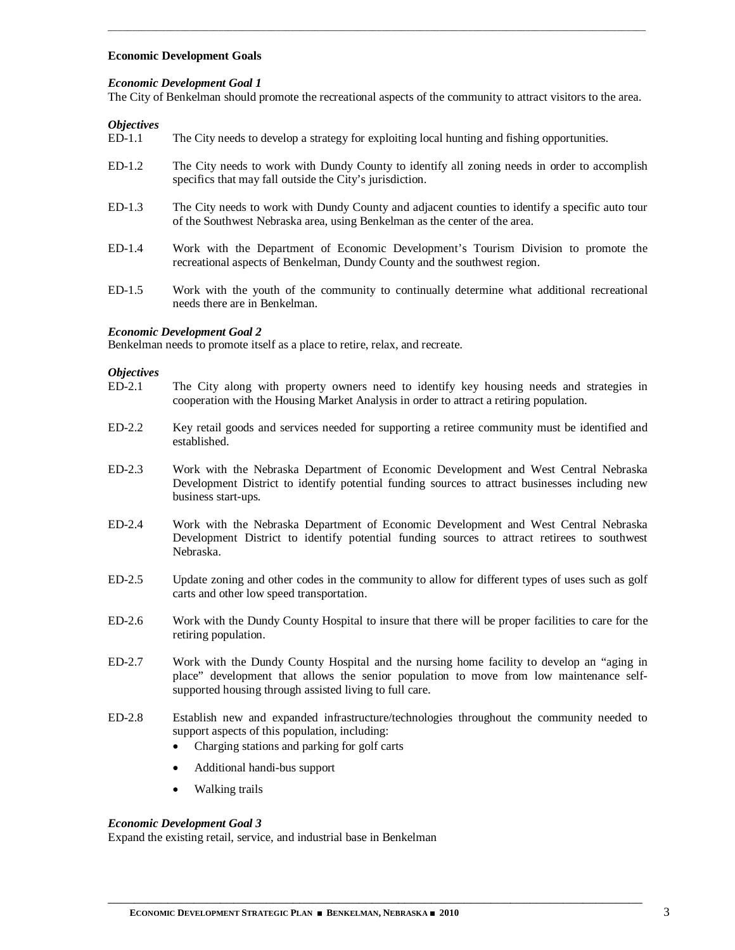#### **Economic Development Goals**

#### *Economic Development Goal 1*

The City of Benkelman should promote the recreational aspects of the community to attract visitors to the area.

\_\_\_\_\_\_\_\_\_\_\_\_\_\_\_\_\_\_\_\_\_\_\_\_\_\_\_\_\_\_\_\_\_\_\_\_\_\_\_\_\_\_\_\_\_\_\_\_\_\_\_\_\_\_\_\_\_\_\_\_\_\_\_\_\_\_\_\_\_\_\_\_\_\_\_\_\_\_\_\_\_\_\_\_\_\_\_\_\_\_\_\_\_\_\_\_\_\_\_\_\_\_\_\_\_\_\_\_\_\_\_\_

## *Objectives*

- The City needs to develop a strategy for exploiting local hunting and fishing opportunities.
- ED-1.2 The City needs to work with Dundy County to identify all zoning needs in order to accomplish specifics that may fall outside the City's jurisdiction.
- ED-1.3 The City needs to work with Dundy County and adjacent counties to identify a specific auto tour of the Southwest Nebraska area, using Benkelman as the center of the area.
- ED-1.4 Work with the Department of Economic Development's Tourism Division to promote the recreational aspects of Benkelman, Dundy County and the southwest region.
- ED-1.5 Work with the youth of the community to continually determine what additional recreational needs there are in Benkelman.

#### *Economic Development Goal 2*

Benkelman needs to promote itself as a place to retire, relax, and recreate.

#### *Objectives*

- ED-2.1 The City along with property owners need to identify key housing needs and strategies in cooperation with the Housing Market Analysis in order to attract a retiring population.
- ED-2.2 Key retail goods and services needed for supporting a retiree community must be identified and established.
- ED-2.3 Work with the Nebraska Department of Economic Development and West Central Nebraska Development District to identify potential funding sources to attract businesses including new business start-ups.
- ED-2.4 Work with the Nebraska Department of Economic Development and West Central Nebraska Development District to identify potential funding sources to attract retirees to southwest Nebraska.
- ED-2.5 Update zoning and other codes in the community to allow for different types of uses such as golf carts and other low speed transportation.
- ED-2.6 Work with the Dundy County Hospital to insure that there will be proper facilities to care for the retiring population.
- ED-2.7 Work with the Dundy County Hospital and the nursing home facility to develop an "aging in place" development that allows the senior population to move from low maintenance selfsupported housing through assisted living to full care.
- ED-2.8 Establish new and expanded infrastructure/technologies throughout the community needed to support aspects of this population, including:

\_\_\_\_\_\_\_\_\_\_\_\_\_\_\_\_\_\_\_\_\_\_\_\_\_\_\_\_\_\_\_\_\_\_\_\_\_\_\_\_\_\_\_\_\_\_\_\_\_\_\_\_\_\_\_\_\_\_\_\_\_\_\_\_\_\_\_\_\_\_\_\_\_\_\_\_\_\_\_\_\_

- Charging stations and parking for golf carts
- Additional handi-bus support
- Walking trails

#### *Economic Development Goal 3*

Expand the existing retail, service, and industrial base in Benkelman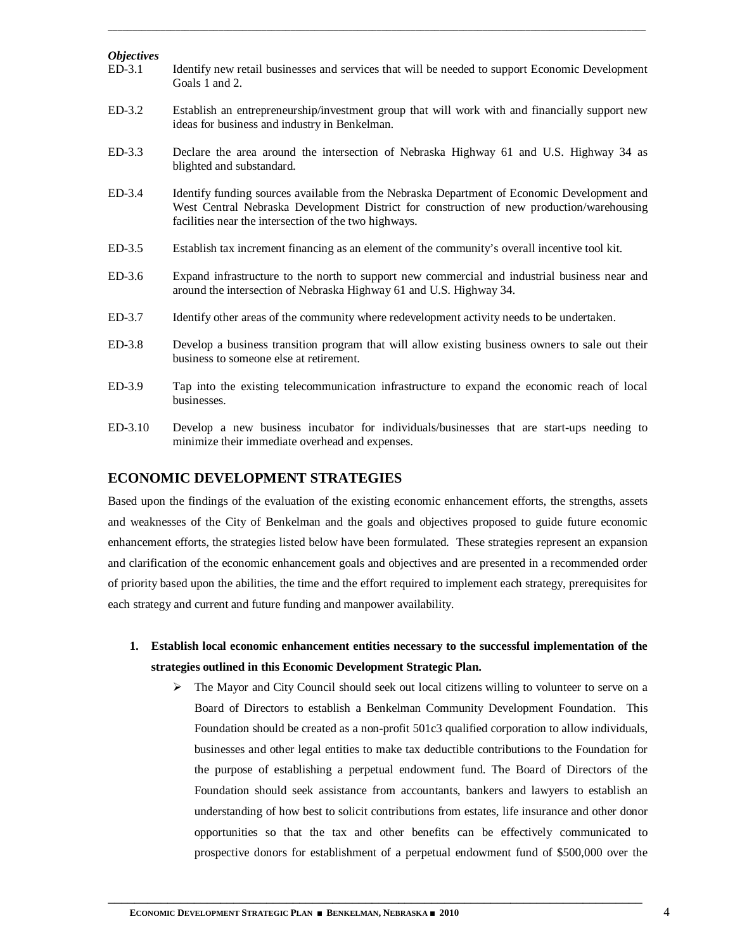| <i><b>Objectives</b></i> |                                                                                                                                                                                                                                                   |
|--------------------------|---------------------------------------------------------------------------------------------------------------------------------------------------------------------------------------------------------------------------------------------------|
| $ED-3.1$                 | Identify new retail businesses and services that will be needed to support Economic Development<br>Goals 1 and 2.                                                                                                                                 |
| $ED-3.2$                 | Establish an entrepreneurship/investment group that will work with and financially support new<br>ideas for business and industry in Benkelman.                                                                                                   |
| $ED-3.3$                 | Declare the area around the intersection of Nebraska Highway 61 and U.S. Highway 34 as<br>blighted and substandard.                                                                                                                               |
| $ED-3.4$                 | Identify funding sources available from the Nebraska Department of Economic Development and<br>West Central Nebraska Development District for construction of new production/warehousing<br>facilities near the intersection of the two highways. |
| $ED-3.5$                 | Establish tax increment financing as an element of the community's overall incentive tool kit.                                                                                                                                                    |
| $ED-3.6$                 | Expand infrastructure to the north to support new commercial and industrial business near and<br>around the intersection of Nebraska Highway 61 and U.S. Highway 34.                                                                              |
| $ED-3.7$                 | Identify other areas of the community where redevelopment activity needs to be undertaken.                                                                                                                                                        |
| $ED-3.8$                 | Develop a business transition program that will allow existing business owners to sale out their<br>business to someone else at retirement.                                                                                                       |
| ED-3.9                   | Tap into the existing telecommunication infrastructure to expand the economic reach of local<br>businesses.                                                                                                                                       |
| $ED-3.10$                | Develop a new business incubator for individuals/businesses that are start-ups needing to<br>minimize their immediate overhead and expenses.                                                                                                      |

\_\_\_\_\_\_\_\_\_\_\_\_\_\_\_\_\_\_\_\_\_\_\_\_\_\_\_\_\_\_\_\_\_\_\_\_\_\_\_\_\_\_\_\_\_\_\_\_\_\_\_\_\_\_\_\_\_\_\_\_\_\_\_\_\_\_\_\_\_\_\_\_\_\_\_\_\_\_\_\_\_\_\_\_\_\_\_\_\_\_\_\_\_\_\_\_\_\_\_\_\_\_\_\_\_\_\_\_\_\_\_\_

## **ECONOMIC DEVELOPMENT STRATEGIES**

Based upon the findings of the evaluation of the existing economic enhancement efforts, the strengths, assets and weaknesses of the City of Benkelman and the goals and objectives proposed to guide future economic enhancement efforts, the strategies listed below have been formulated. These strategies represent an expansion and clarification of the economic enhancement goals and objectives and are presented in a recommended order of priority based upon the abilities, the time and the effort required to implement each strategy, prerequisites for each strategy and current and future funding and manpower availability.

- **1. Establish local economic enhancement entities necessary to the successful implementation of the strategies outlined in this Economic Development Strategic Plan.**
	- $\triangleright$  The Mayor and City Council should seek out local citizens willing to volunteer to serve on a Board of Directors to establish a Benkelman Community Development Foundation. This Foundation should be created as a non-profit 501c3 qualified corporation to allow individuals, businesses and other legal entities to make tax deductible contributions to the Foundation for the purpose of establishing a perpetual endowment fund. The Board of Directors of the Foundation should seek assistance from accountants, bankers and lawyers to establish an understanding of how best to solicit contributions from estates, life insurance and other donor opportunities so that the tax and other benefits can be effectively communicated to prospective donors for establishment of a perpetual endowment fund of \$500,000 over the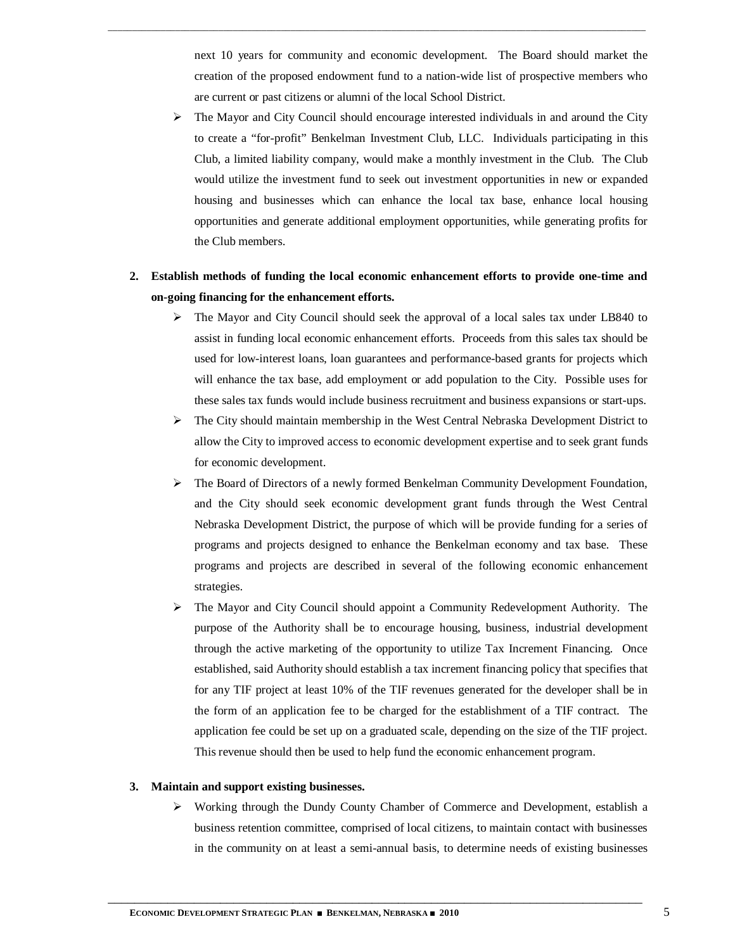next 10 years for community and economic development. The Board should market the creation of the proposed endowment fund to a nation-wide list of prospective members who are current or past citizens or alumni of the local School District.

\_\_\_\_\_\_\_\_\_\_\_\_\_\_\_\_\_\_\_\_\_\_\_\_\_\_\_\_\_\_\_\_\_\_\_\_\_\_\_\_\_\_\_\_\_\_\_\_\_\_\_\_\_\_\_\_\_\_\_\_\_\_\_\_\_\_\_\_\_\_\_\_\_\_\_\_\_\_\_\_\_\_\_\_\_\_\_\_\_\_\_\_\_\_\_\_\_\_\_\_\_\_\_\_\_\_\_\_\_\_\_\_

- The Mayor and City Council should encourage interested individuals in and around the City to create a "for-profit" Benkelman Investment Club, LLC. Individuals participating in this Club, a limited liability company, would make a monthly investment in the Club. The Club would utilize the investment fund to seek out investment opportunities in new or expanded housing and businesses which can enhance the local tax base, enhance local housing opportunities and generate additional employment opportunities, while generating profits for the Club members.
- **2. Establish methods of funding the local economic enhancement efforts to provide one-time and on-going financing for the enhancement efforts.**
	- $\triangleright$  The Mayor and City Council should seek the approval of a local sales tax under LB840 to assist in funding local economic enhancement efforts. Proceeds from this sales tax should be used for low-interest loans, loan guarantees and performance-based grants for projects which will enhance the tax base, add employment or add population to the City. Possible uses for these sales tax funds would include business recruitment and business expansions or start-ups.
	- The City should maintain membership in the West Central Nebraska Development District to allow the City to improved access to economic development expertise and to seek grant funds for economic development.
	- $\triangleright$  The Board of Directors of a newly formed Benkelman Community Development Foundation, and the City should seek economic development grant funds through the West Central Nebraska Development District, the purpose of which will be provide funding for a series of programs and projects designed to enhance the Benkelman economy and tax base. These programs and projects are described in several of the following economic enhancement strategies.
	- The Mayor and City Council should appoint a Community Redevelopment Authority. The purpose of the Authority shall be to encourage housing, business, industrial development through the active marketing of the opportunity to utilize Tax Increment Financing. Once established, said Authority should establish a tax increment financing policy that specifies that for any TIF project at least 10% of the TIF revenues generated for the developer shall be in the form of an application fee to be charged for the establishment of a TIF contract. The application fee could be set up on a graduated scale, depending on the size of the TIF project. This revenue should then be used to help fund the economic enhancement program.

#### **3. Maintain and support existing businesses.**

 $\triangleright$  Working through the Dundy County Chamber of Commerce and Development, establish a business retention committee, comprised of local citizens, to maintain contact with businesses in the community on at least a semi-annual basis, to determine needs of existing businesses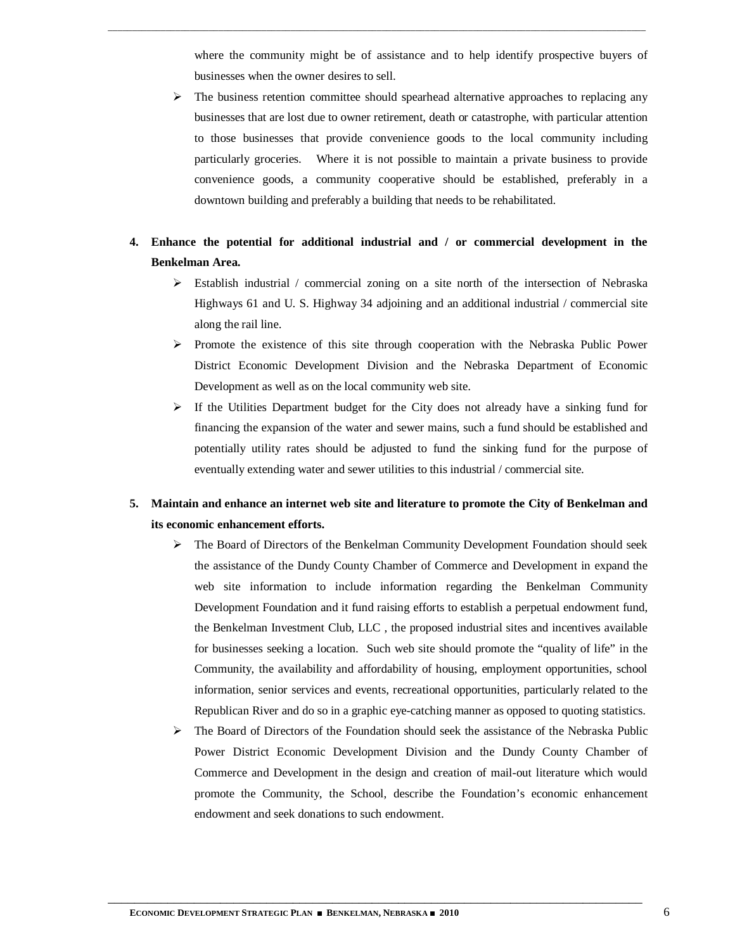where the community might be of assistance and to help identify prospective buyers of businesses when the owner desires to sell.

\_\_\_\_\_\_\_\_\_\_\_\_\_\_\_\_\_\_\_\_\_\_\_\_\_\_\_\_\_\_\_\_\_\_\_\_\_\_\_\_\_\_\_\_\_\_\_\_\_\_\_\_\_\_\_\_\_\_\_\_\_\_\_\_\_\_\_\_\_\_\_\_\_\_\_\_\_\_\_\_\_\_\_\_\_\_\_\_\_\_\_\_\_\_\_\_\_\_\_\_\_\_\_\_\_\_\_\_\_\_\_\_

- $\triangleright$  The business retention committee should spearhead alternative approaches to replacing any businesses that are lost due to owner retirement, death or catastrophe, with particular attention to those businesses that provide convenience goods to the local community including particularly groceries. Where it is not possible to maintain a private business to provide convenience goods, a community cooperative should be established, preferably in a downtown building and preferably a building that needs to be rehabilitated.
- **4. Enhance the potential for additional industrial and / or commercial development in the Benkelman Area.**
	- $\triangleright$  Establish industrial / commercial zoning on a site north of the intersection of Nebraska Highways 61 and U. S. Highway 34 adjoining and an additional industrial / commercial site along the rail line.
	- $\triangleright$  Promote the existence of this site through cooperation with the Nebraska Public Power District Economic Development Division and the Nebraska Department of Economic Development as well as on the local community web site.
	- $\triangleright$  If the Utilities Department budget for the City does not already have a sinking fund for financing the expansion of the water and sewer mains, such a fund should be established and potentially utility rates should be adjusted to fund the sinking fund for the purpose of eventually extending water and sewer utilities to this industrial / commercial site.

## **5. Maintain and enhance an internet web site and literature to promote the City of Benkelman and its economic enhancement efforts.**

- The Board of Directors of the Benkelman Community Development Foundation should seek the assistance of the Dundy County Chamber of Commerce and Development in expand the web site information to include information regarding the Benkelman Community Development Foundation and it fund raising efforts to establish a perpetual endowment fund, the Benkelman Investment Club, LLC , the proposed industrial sites and incentives available for businesses seeking a location. Such web site should promote the "quality of life" in the Community, the availability and affordability of housing, employment opportunities, school information, senior services and events, recreational opportunities, particularly related to the Republican River and do so in a graphic eye-catching manner as opposed to quoting statistics.
- $\triangleright$  The Board of Directors of the Foundation should seek the assistance of the Nebraska Public Power District Economic Development Division and the Dundy County Chamber of Commerce and Development in the design and creation of mail-out literature which would promote the Community, the School, describe the Foundation's economic enhancement endowment and seek donations to such endowment.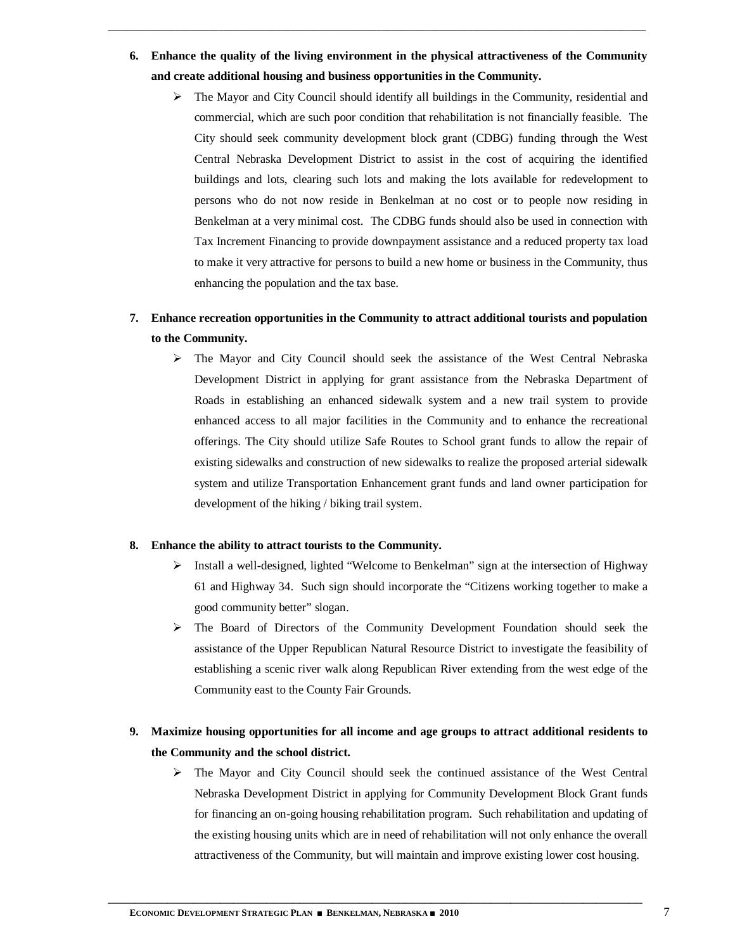**6. Enhance the quality of the living environment in the physical attractiveness of the Community and create additional housing and business opportunities in the Community.**

\_\_\_\_\_\_\_\_\_\_\_\_\_\_\_\_\_\_\_\_\_\_\_\_\_\_\_\_\_\_\_\_\_\_\_\_\_\_\_\_\_\_\_\_\_\_\_\_\_\_\_\_\_\_\_\_\_\_\_\_\_\_\_\_\_\_\_\_\_\_\_\_\_\_\_\_\_\_\_\_\_\_\_\_\_\_\_\_\_\_\_\_\_\_\_\_\_\_\_\_\_\_\_\_\_\_\_\_\_\_\_\_

 $\triangleright$  The Mayor and City Council should identify all buildings in the Community, residential and commercial, which are such poor condition that rehabilitation is not financially feasible. The City should seek community development block grant (CDBG) funding through the West Central Nebraska Development District to assist in the cost of acquiring the identified buildings and lots, clearing such lots and making the lots available for redevelopment to persons who do not now reside in Benkelman at no cost or to people now residing in Benkelman at a very minimal cost. The CDBG funds should also be used in connection with Tax Increment Financing to provide downpayment assistance and a reduced property tax load to make it very attractive for persons to build a new home or business in the Community, thus enhancing the population and the tax base.

## **7. Enhance recreation opportunities in the Community to attract additional tourists and population to the Community.**

 The Mayor and City Council should seek the assistance of the West Central Nebraska Development District in applying for grant assistance from the Nebraska Department of Roads in establishing an enhanced sidewalk system and a new trail system to provide enhanced access to all major facilities in the Community and to enhance the recreational offerings. The City should utilize Safe Routes to School grant funds to allow the repair of existing sidewalks and construction of new sidewalks to realize the proposed arterial sidewalk system and utilize Transportation Enhancement grant funds and land owner participation for development of the hiking / biking trail system.

#### **8. Enhance the ability to attract tourists to the Community.**

- $\triangleright$  Install a well-designed, lighted "Welcome to Benkelman" sign at the intersection of Highway 61 and Highway 34. Such sign should incorporate the "Citizens working together to make a good community better" slogan.
- $\triangleright$  The Board of Directors of the Community Development Foundation should seek the assistance of the Upper Republican Natural Resource District to investigate the feasibility of establishing a scenic river walk along Republican River extending from the west edge of the Community east to the County Fair Grounds.

## **9. Maximize housing opportunities for all income and age groups to attract additional residents to the Community and the school district.**

\_\_\_\_\_\_\_\_\_\_\_\_\_\_\_\_\_\_\_\_\_\_\_\_\_\_\_\_\_\_\_\_\_\_\_\_\_\_\_\_\_\_\_\_\_\_\_\_\_\_\_\_\_\_\_\_\_\_\_\_\_\_\_\_\_\_\_\_\_\_\_\_\_\_\_\_\_\_\_\_\_

 The Mayor and City Council should seek the continued assistance of the West Central Nebraska Development District in applying for Community Development Block Grant funds for financing an on-going housing rehabilitation program. Such rehabilitation and updating of the existing housing units which are in need of rehabilitation will not only enhance the overall attractiveness of the Community, but will maintain and improve existing lower cost housing.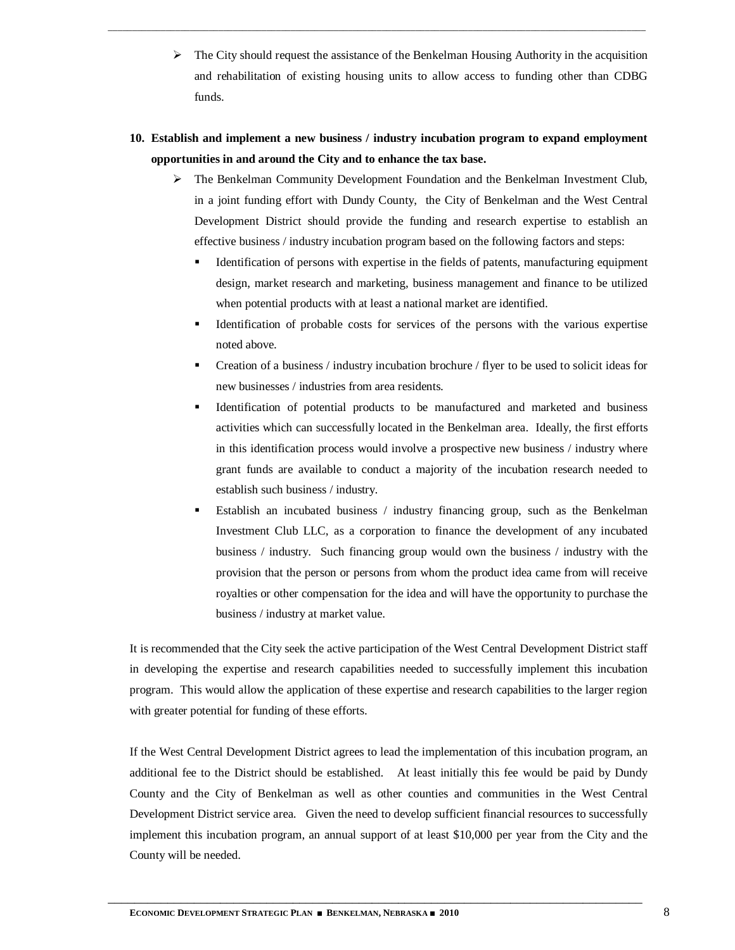- $\triangleright$  The City should request the assistance of the Benkelman Housing Authority in the acquisition and rehabilitation of existing housing units to allow access to funding other than CDBG funds.
- **10. Establish and implement a new business / industry incubation program to expand employment opportunities in and around the City and to enhance the tax base.**

\_\_\_\_\_\_\_\_\_\_\_\_\_\_\_\_\_\_\_\_\_\_\_\_\_\_\_\_\_\_\_\_\_\_\_\_\_\_\_\_\_\_\_\_\_\_\_\_\_\_\_\_\_\_\_\_\_\_\_\_\_\_\_\_\_\_\_\_\_\_\_\_\_\_\_\_\_\_\_\_\_\_\_\_\_\_\_\_\_\_\_\_\_\_\_\_\_\_\_\_\_\_\_\_\_\_\_\_\_\_\_\_

- $\triangleright$  The Benkelman Community Development Foundation and the Benkelman Investment Club, in a joint funding effort with Dundy County, the City of Benkelman and the West Central Development District should provide the funding and research expertise to establish an effective business / industry incubation program based on the following factors and steps:
	- Identification of persons with expertise in the fields of patents, manufacturing equipment design, market research and marketing, business management and finance to be utilized when potential products with at least a national market are identified.
	- Identification of probable costs for services of the persons with the various expertise noted above.
	- Creation of a business / industry incubation brochure / flyer to be used to solicit ideas for new businesses / industries from area residents.
	- Identification of potential products to be manufactured and marketed and business activities which can successfully located in the Benkelman area. Ideally, the first efforts in this identification process would involve a prospective new business / industry where grant funds are available to conduct a majority of the incubation research needed to establish such business / industry.
	- Establish an incubated business / industry financing group, such as the Benkelman Investment Club LLC, as a corporation to finance the development of any incubated business / industry. Such financing group would own the business / industry with the provision that the person or persons from whom the product idea came from will receive royalties or other compensation for the idea and will have the opportunity to purchase the business / industry at market value.

It is recommended that the City seek the active participation of the West Central Development District staff in developing the expertise and research capabilities needed to successfully implement this incubation program. This would allow the application of these expertise and research capabilities to the larger region with greater potential for funding of these efforts.

If the West Central Development District agrees to lead the implementation of this incubation program, an additional fee to the District should be established. At least initially this fee would be paid by Dundy County and the City of Benkelman as well as other counties and communities in the West Central Development District service area. Given the need to develop sufficient financial resources to successfully implement this incubation program, an annual support of at least \$10,000 per year from the City and the County will be needed.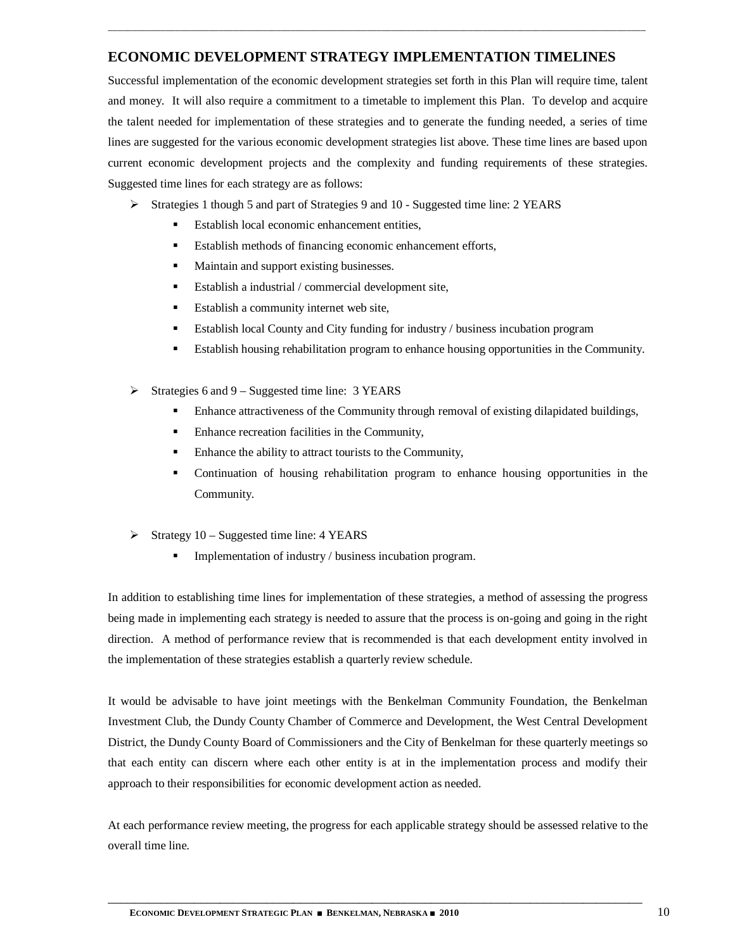## **ECONOMIC DEVELOPMENT STRATEGY IMPLEMENTATION TIMELINES**

\_\_\_\_\_\_\_\_\_\_\_\_\_\_\_\_\_\_\_\_\_\_\_\_\_\_\_\_\_\_\_\_\_\_\_\_\_\_\_\_\_\_\_\_\_\_\_\_\_\_\_\_\_\_\_\_\_\_\_\_\_\_\_\_\_\_\_\_\_\_\_\_\_\_\_\_\_\_\_\_\_\_\_\_\_\_\_\_\_\_\_\_\_\_\_\_\_\_\_\_\_\_\_\_\_\_\_\_\_\_\_\_

Successful implementation of the economic development strategies set forth in this Plan will require time, talent and money. It will also require a commitment to a timetable to implement this Plan. To develop and acquire the talent needed for implementation of these strategies and to generate the funding needed, a series of time lines are suggested for the various economic development strategies list above. These time lines are based upon current economic development projects and the complexity and funding requirements of these strategies. Suggested time lines for each strategy are as follows:

- Strategies 1 though 5 and part of Strategies 9 and 10 Suggested time line: 2 YEARS
	- Establish local economic enhancement entities,
	- Establish methods of financing economic enhancement efforts,
	- **Maintain and support existing businesses.**
	- Establish a industrial / commercial development site,
	- **Establish a community internet web site,**
	- Establish local County and City funding for industry / business incubation program
	- Establish housing rehabilitation program to enhance housing opportunities in the Community.
- $\triangleright$  Strategies 6 and 9 Suggested time line: 3 YEARS
	- Enhance attractiveness of the Community through removal of existing dilapidated buildings,
	- Enhance recreation facilities in the Community,
	- Enhance the ability to attract tourists to the Community,
	- Continuation of housing rehabilitation program to enhance housing opportunities in the Community.
- $\triangleright$  Strategy 10 Suggested time line: 4 YEARS
	- Implementation of industry / business incubation program.

In addition to establishing time lines for implementation of these strategies, a method of assessing the progress being made in implementing each strategy is needed to assure that the process is on-going and going in the right direction. A method of performance review that is recommended is that each development entity involved in the implementation of these strategies establish a quarterly review schedule.

It would be advisable to have joint meetings with the Benkelman Community Foundation, the Benkelman Investment Club, the Dundy County Chamber of Commerce and Development, the West Central Development District, the Dundy County Board of Commissioners and the City of Benkelman for these quarterly meetings so that each entity can discern where each other entity is at in the implementation process and modify their approach to their responsibilities for economic development action as needed.

At each performance review meeting, the progress for each applicable strategy should be assessed relative to the overall time line.